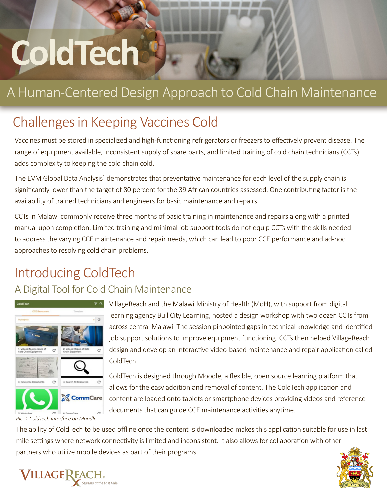# **ColdTech**

## A Human-Centered Design Approach to Cold Chain Maintenance

## Challenges in Keeping Vaccines Cold

Vaccines must be stored in specialized and high-functioning refrigerators or freezers to effectively prevent disease. The range of equipment available, inconsistent supply of spare parts, and limited training of cold chain technicians (CCTs) adds complexity to keeping the cold chain cold.

The EVM Global Data Analysis<sup>1</sup> demonstrates that preventative maintenance for each level of the supply chain is significantly lower than the target of 80 percent for the 39 African countries assessed. One contributing factor is the availability of trained technicians and engineers for basic maintenance and repairs.

CCTs in Malawi commonly receive three months of basic training in maintenance and repairs along with a printed manual upon completion. Limited training and minimal job support tools do not equip CCTs with the skills needed to address the varying CCE maintenance and repair needs, which can lead to poor CCE performance and ad-hoc approaches to resolving cold chain problems.

## Introducing ColdTech

#### A Digital Tool for Cold Chain Maintenance



*Pic. 1 ColdTech interface on Moodle*

VillageReach and the Malawi Ministry of Health (MoH), with support from digital learning agency Bull City Learning, hosted a design workshop with two dozen CCTs from across central Malawi. The session pinpointed gaps in technical knowledge and identified job support solutions to improve equipment functioning. CCTs then helped VillageReach design and develop an interactive video-based maintenance and repair application called ColdTech.

ColdTech is designed through Moodle, a flexible, open source learning platform that allows for the easy addition and removal of content. The ColdTech application and content are loaded onto tablets or smartphone devices providing videos and reference documents that can guide CCE maintenance activities anytime.

The ability of ColdTech to be used offline once the content is downloaded makes this application suitable for use in last mile settings where network connectivity is limited and inconsistent. It also allows for collaboration with other partners who utilize mobile devices as part of their programs.